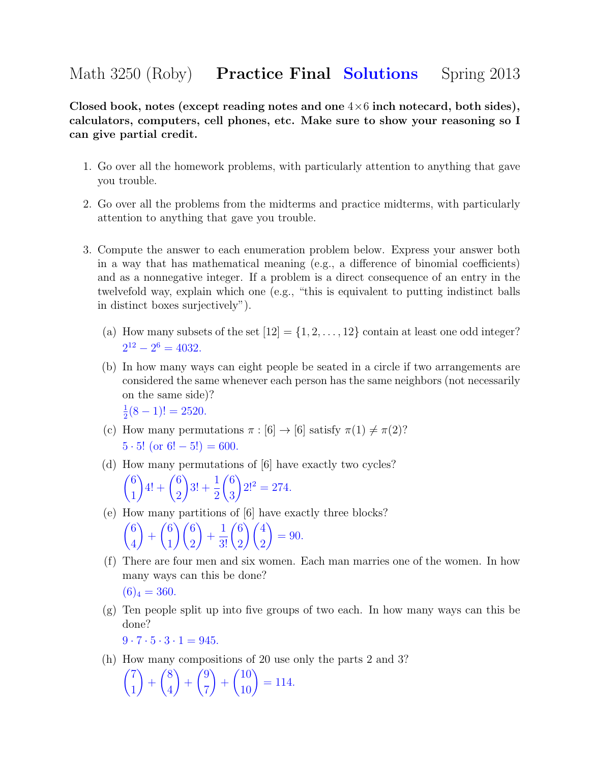## Math 3250 (Roby) **Practice Final Solutions** Spring 2013

Closed book, notes (except reading notes and one  $4\times 6$  inch notecard, both sides), calculators, computers, cell phones, etc. Make sure to show your reasoning so I can give partial credit.

- 1. Go over all the homework problems, with particularly attention to anything that gave you trouble.
- 2. Go over all the problems from the midterms and practice midterms, with particularly attention to anything that gave you trouble.
- 3. Compute the answer to each enumeration problem below. Express your answer both in a way that has mathematical meaning (e.g., a difference of binomial coefficients) and as a nonnegative integer. If a problem is a direct consequence of an entry in the twelvefold way, explain which one (e.g., "this is equivalent to putting indistinct balls in distinct boxes surjectively").
	- (a) How many subsets of the set  $[12] = \{1, 2, \ldots, 12\}$  contain at least one odd integer?  $2^{12} - 2^6 = 4032.$
	- (b) In how many ways can eight people be seated in a circle if two arrangements are considered the same whenever each person has the same neighbors (not necessarily on the same side)? 1  $\frac{1}{2}(8-1)! = 2520.$
	- (c) How many permutations  $\pi : [6] \to [6]$  satisfy  $\pi(1) \neq \pi(2)$ ?  $5 \cdot 5!$  (or  $6! - 5!) = 600$ .
	- (d) How many permutations of [6] have exactly two cycles?  $\sqrt{6}$ 1  $4! + \binom{6}{8}$ 2  $3! + \frac{1}{2}$ 2  $\sqrt{6}$ 3  $2!^2 = 274.$
	- (e) How many partitions of [6] have exactly three blocks? 6 4  $\setminus$  $+$  6 1  $\bigwedge$  6 2  $\setminus$  $+$  $rac{1}{3!}\binom{6}{2}$ 2  $\sqrt{4}$ 2  $\setminus$  $= 90.$
	- (f) There are four men and six women. Each man marries one of the women. In how many ways can this be done?  $(6)_4 = 360.$
	- (g) Ten people split up into five groups of two each. In how many ways can this be done?

 $9 \cdot 7 \cdot 5 \cdot 3 \cdot 1 = 945.$ 

(h) How many compositions of 20 use only the parts 2 and 3?

$$
\binom{7}{1} + \binom{8}{4} + \binom{9}{7} + \binom{10}{10} = 114.
$$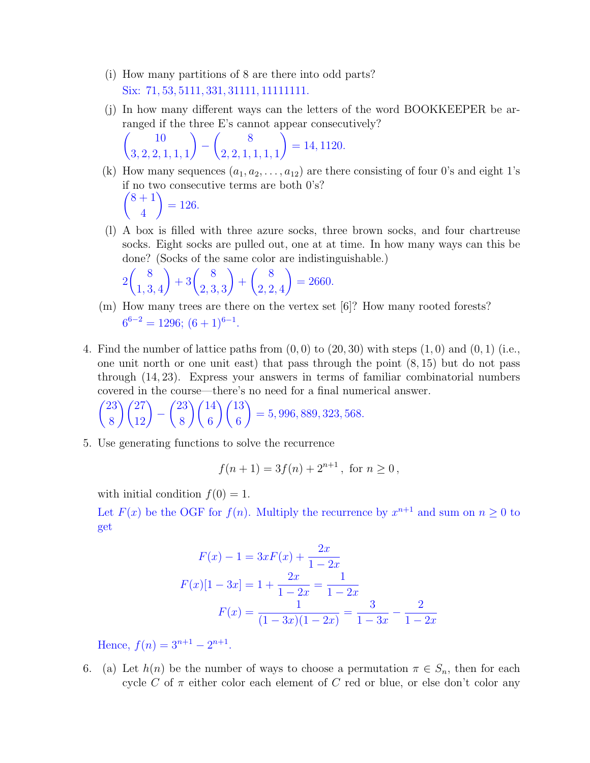- (i) How many partitions of 8 are there into odd parts? Six: 71, 53, 5111, 331, 31111, 111111111.
- (j) In how many different ways can the letters of the word BOOKKEEPER be arranged if the three E's cannot appear consecutively?

$$
\binom{10}{3,2,2,1,1,1} - \binom{8}{2,2,1,1,1,1} = 14,1120.
$$

- (k) How many sequences  $(a_1, a_2, \ldots, a_{12})$  are there consisting of four 0's and eight 1's if no two consecutive terms are both 0's?  $(8 + 1)$ 4  $\setminus$  $= 126.$
- (l) A box is filled with three azure socks, three brown socks, and four chartreuse socks. Eight socks are pulled out, one at at time. In how many ways can this be done? (Socks of the same color are indistinguishable.)

$$
2\binom{8}{1,3,4} + 3\binom{8}{2,3,3} + \binom{8}{2,2,4} = 2660.
$$

- (m) How many trees are there on the vertex set [6]? How many rooted forests?  $6^{6-2} = 1296$ ;  $(6+1)^{6-1}$ .
- 4. Find the number of lattice paths from  $(0, 0)$  to  $(20, 30)$  with steps  $(1, 0)$  and  $(0, 1)$  (i.e., one unit north or one unit east) that pass through the point (8, 15) but do not pass through (14, 23). Express your answers in terms of familiar combinatorial numbers covered in the course—there's no need for a final numerical answer.

$$
\binom{23}{8}\binom{27}{12} - \binom{23}{8}\binom{14}{6}\binom{13}{6} = 5,996,889,323,568.
$$

5. Use generating functions to solve the recurrence

$$
f(n + 1) = 3f(n) + 2^{n+1}
$$
, for  $n \ge 0$ ,

with initial condition  $f(0) = 1$ .

Let  $F(x)$  be the OGF for  $f(n)$ . Multiply the recurrence by  $x^{n+1}$  and sum on  $n \geq 0$  to get

$$
F(x) - 1 = 3xF(x) + \frac{2x}{1 - 2x}
$$

$$
F(x)[1 - 3x] = 1 + \frac{2x}{1 - 2x} = \frac{1}{1 - 2x}
$$

$$
F(x) = \frac{1}{(1 - 3x)(1 - 2x)} = \frac{3}{1 - 3x} - \frac{2}{1 - 2x}
$$

Hence,  $f(n) = 3^{n+1} - 2^{n+1}$ .

6. (a) Let  $h(n)$  be the number of ways to choose a permutation  $\pi \in S_n$ , then for each cycle C of  $\pi$  either color each element of C red or blue, or else don't color any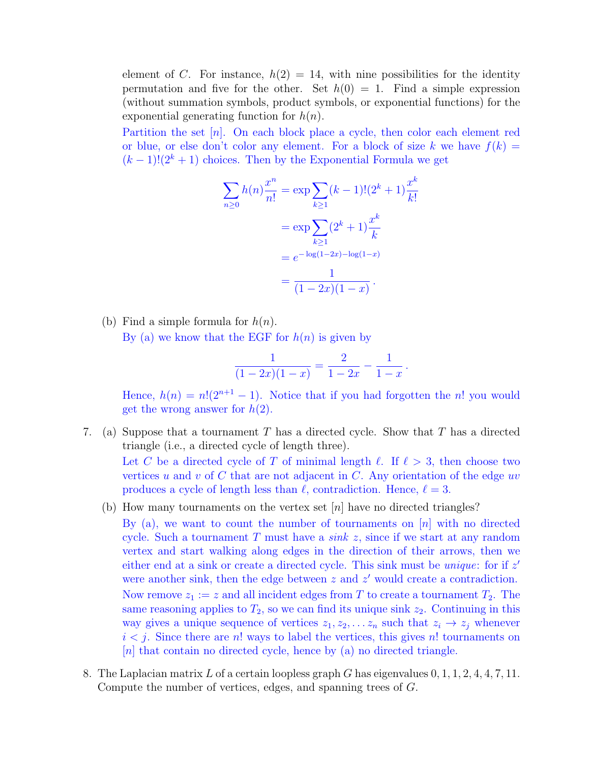element of C. For instance,  $h(2) = 14$ , with nine possibilities for the identity permutation and five for the other. Set  $h(0) = 1$ . Find a simple expression (without summation symbols, product symbols, or exponential functions) for the exponential generating function for  $h(n)$ .

Partition the set  $[n]$ . On each block place a cycle, then color each element red or blue, or else don't color any element. For a block of size k we have  $f(k) =$  $(k-1)!(2^k+1)$  choices. Then by the Exponential Formula we get

$$
\sum_{n\geq 0} h(n) \frac{x^n}{n!} = \exp \sum_{k\geq 1} (k-1)!(2^k+1)\frac{x^k}{k!}
$$

$$
= \exp \sum_{k\geq 1} (2^k+1)\frac{x^k}{k}
$$

$$
= e^{-\log(1-2x) - \log(1-x)}
$$

$$
= \frac{1}{(1-2x)(1-x)}.
$$

(b) Find a simple formula for  $h(n)$ . By (a) we know that the EGF for  $h(n)$  is given by

$$
\frac{1}{(1-2x)(1-x)} = \frac{2}{1-2x} - \frac{1}{1-x}.
$$

Hence,  $h(n) = n!(2^{n+1} - 1)$ . Notice that if you had forgotten the n! you would get the wrong answer for  $h(2)$ .

- 7. (a) Suppose that a tournament T has a directed cycle. Show that T has a directed triangle (i.e., a directed cycle of length three). Let C be a directed cycle of T of minimal length  $\ell$ . If  $\ell > 3$ , then choose two vertices u and v of C that are not adjacent in C. Any orientation of the edge uv produces a cycle of length less than  $\ell$ , contradiction. Hence,  $\ell = 3$ .
	- (b) How many tournaments on the vertex set  $[n]$  have no directed triangles?

By (a), we want to count the number of tournaments on  $[n]$  with no directed cycle. Such a tournament T must have a sink z, since if we start at any random vertex and start walking along edges in the direction of their arrows, then we either end at a sink or create a directed cycle. This sink must be *unique*: for if  $z'$ were another sink, then the edge between  $z$  and  $z'$  would create a contradiction.

Now remove  $z_1 := z$  and all incident edges from T to create a tournament  $T_2$ . The same reasoning applies to  $T_2$ , so we can find its unique sink  $z_2$ . Continuing in this way gives a unique sequence of vertices  $z_1, z_2, \ldots z_n$  such that  $z_i \to z_j$  whenever  $i < j$ . Since there are n! ways to label the vertices, this gives n! tournaments on  $[n]$  that contain no directed cycle, hence by (a) no directed triangle.

8. The Laplacian matrix L of a certain loopless graph G has eigenvalues  $0, 1, 1, 2, 4, 4, 7, 11$ . Compute the number of vertices, edges, and spanning trees of G.